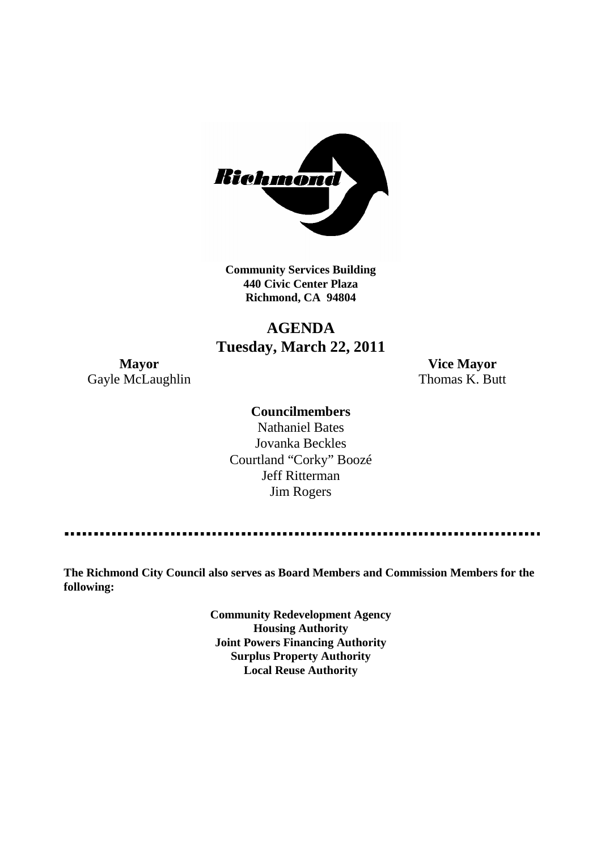

**Community Services Building 440 Civic Center Plaza Richmond, CA 94804**

# **AGENDA Tuesday, March 22, 2011**

Gayle McLaughlin Thomas K. Butt

**Mayor Vice Mayor**

# **Councilmembers**

Nathaniel Bates Jovanka Beckles Courtland "Corky" Boozé Jeff Ritterman Jim Rogers

**The Richmond City Council also serves as Board Members and Commission Members for the following:**

> **Community Redevelopment Agency Housing Authority Joint Powers Financing Authority Surplus Property Authority Local Reuse Authority**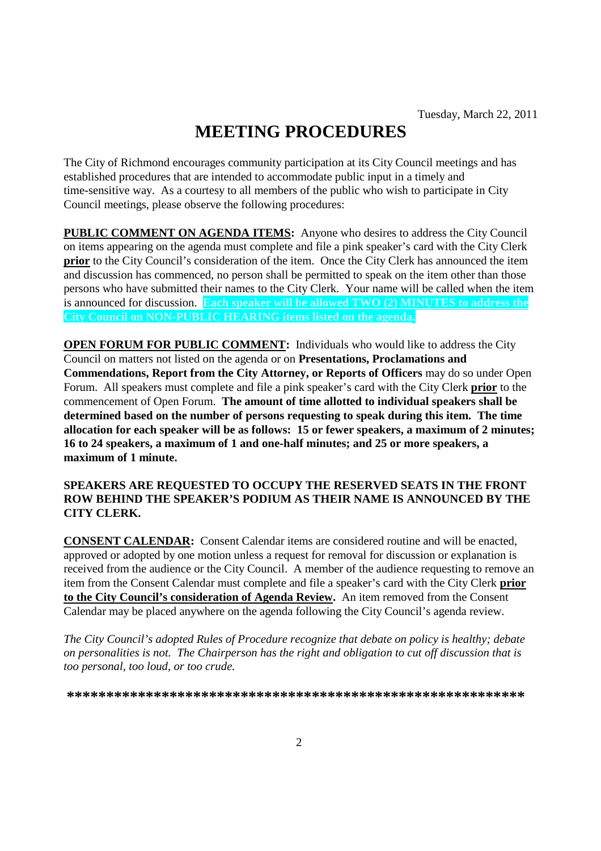# **MEETING PROCEDURES**

The City of Richmond encourages community participation at its City Council meetings and has established procedures that are intended to accommodate public input in a timely and time-sensitive way. As a courtesy to all members of the public who wish to participate in City Council meetings, please observe the following procedures:

**PUBLIC COMMENT ON AGENDA ITEMS:** Anyone who desires to address the City Council on items appearing on the agenda must complete and file a pink speaker's card with the City Clerk **prior** to the City Council's consideration of the item. Once the City Clerk has announced the item and discussion has commenced, no person shall be permitted to speak on the item other than those persons who have submitted their names to the City Clerk. Your name will be called when the item is announced for discussion. **Each speaker will be allowed TWO (2) MINUTES to address the City Council on NON-PUBLIC HEARING items listed on the agenda.**

**OPEN FORUM FOR PUBLIC COMMENT:** Individuals who would like to address the City Council on matters not listed on the agenda or on **Presentations, Proclamations and Commendations, Report from the City Attorney, or Reports of Officers** may do so under Open Forum. All speakers must complete and file a pink speaker's card with the City Clerk **prior** to the commencement of Open Forum. **The amount of time allotted to individual speakers shall be determined based on the number of persons requesting to speak during this item. The time allocation for each speaker will be as follows: 15 or fewer speakers, a maximum of 2 minutes; 16 to 24 speakers, a maximum of 1 and one-half minutes; and 25 or more speakers, a maximum of 1 minute.**

### **SPEAKERS ARE REQUESTED TO OCCUPY THE RESERVED SEATS IN THE FRONT ROW BEHIND THE SPEAKER'S PODIUM AS THEIR NAME IS ANNOUNCED BY THE CITY CLERK.**

**CONSENT CALENDAR:** Consent Calendar items are considered routine and will be enacted, approved or adopted by one motion unless a request for removal for discussion or explanation is received from the audience or the City Council. A member of the audience requesting to remove an item from the Consent Calendar must complete and file a speaker's card with the City Clerk **prior to the City Council's consideration of Agenda Review.** An item removed from the Consent Calendar may be placed anywhere on the agenda following the City Council's agenda review.

*The City Council's adopted Rules of Procedure recognize that debate on policy is healthy; debate on personalities is not. The Chairperson has the right and obligation to cut off discussion that is too personal, too loud, or too crude.*

**\*\*\*\*\*\*\*\*\*\*\*\*\*\*\*\*\*\*\*\*\*\*\*\*\*\*\*\*\*\*\*\*\*\*\*\*\*\*\*\*\*\*\*\*\*\*\*\*\*\*\*\*\*\*\*\*\*\***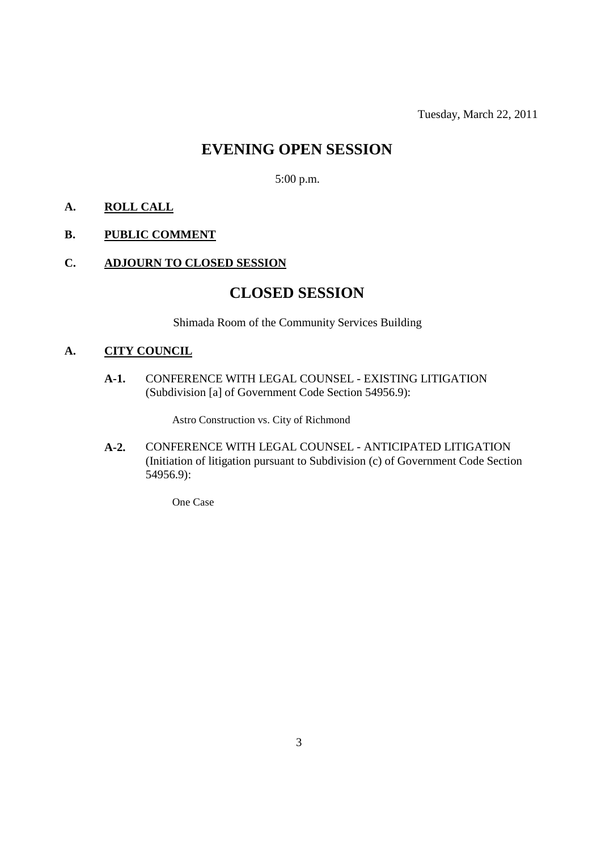Tuesday, March 22, 2011

# **EVENING OPEN SESSION**

5:00 p.m.

# **A. ROLL CALL**

# **B. PUBLIC COMMENT**

# **C. ADJOURN TO CLOSED SESSION**

# **CLOSED SESSION**

Shimada Room of the Community Services Building

# **A. CITY COUNCIL**

**A-1.** CONFERENCE WITH LEGAL COUNSEL - EXISTING LITIGATION (Subdivision [a] of Government Code Section 54956.9):

Astro Construction vs. City of Richmond

**A-2.** CONFERENCE WITH LEGAL COUNSEL - ANTICIPATED LITIGATION (Initiation of litigation pursuant to Subdivision (c) of Government Code Section 54956.9):

One Case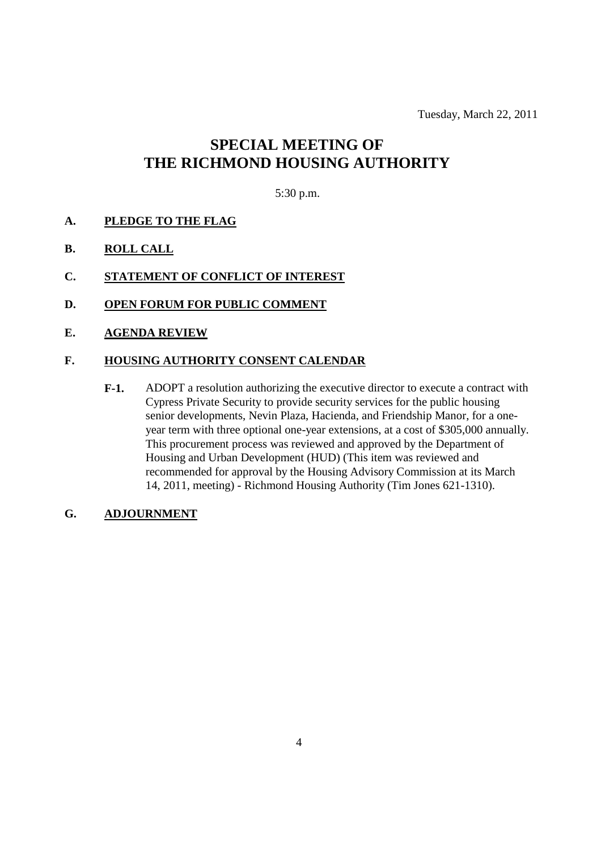Tuesday, March 22, 2011

# **SPECIAL MEETING OF THE RICHMOND HOUSING AUTHORITY**

# 5:30 p.m.

- **A. PLEDGE TO THE FLAG**
- **B. ROLL CALL**
- **C. STATEMENT OF CONFLICT OF INTEREST**
- **D. OPEN FORUM FOR PUBLIC COMMENT**
- **E. AGENDA REVIEW**

### **F. HOUSING AUTHORITY CONSENT CALENDAR**

**F-1.** ADOPT a resolution authorizing the executive director to execute a contract with Cypress Private Security to provide security services for the public housing senior developments, Nevin Plaza, Hacienda, and Friendship Manor, for a oneyear term with three optional one-year extensions, at a cost of \$305,000 annually. This procurement process was reviewed and approved by the Department of Housing and Urban Development (HUD) (This item was reviewed and recommended for approval by the Housing Advisory Commission at its March 14, 2011, meeting) - Richmond Housing Authority (Tim Jones 621-1310).

# **G. ADJOURNMENT**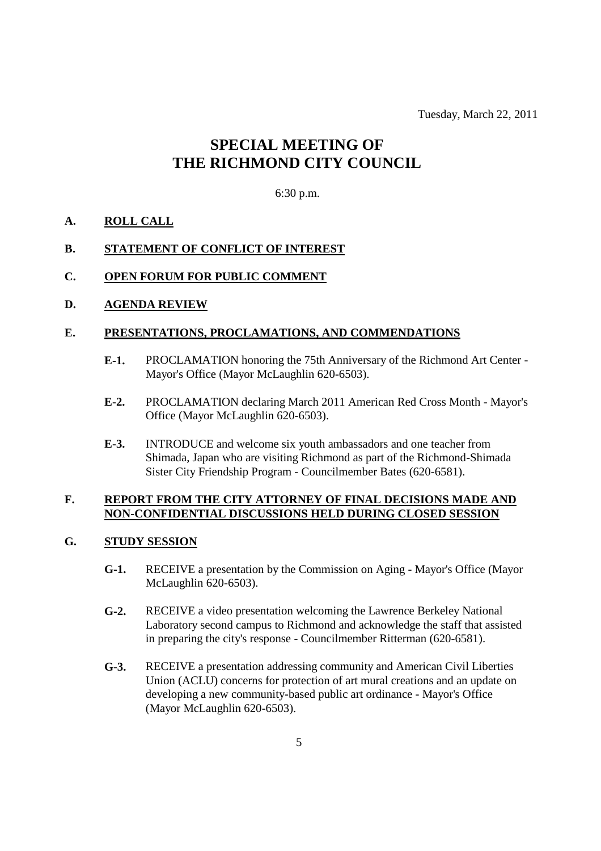Tuesday, March 22, 2011

# **SPECIAL MEETING OF THE RICHMOND CITY COUNCIL**

#### 6:30 p.m.

#### **A. ROLL CALL**

#### **B. STATEMENT OF CONFLICT OF INTEREST**

#### **C. OPEN FORUM FOR PUBLIC COMMENT**

### **D. AGENDA REVIEW**

#### **E. PRESENTATIONS, PROCLAMATIONS, AND COMMENDATIONS**

- **E-1.** PROCLAMATION honoring the 75th Anniversary of the Richmond Art Center Mayor's Office (Mayor McLaughlin 620-6503).
- **E-2.** PROCLAMATION declaring March 2011 American Red Cross Month Mayor's Office (Mayor McLaughlin 620-6503).
- **E-3.** INTRODUCE and welcome six youth ambassadors and one teacher from Shimada, Japan who are visiting Richmond as part of the Richmond-Shimada Sister City Friendship Program - Councilmember Bates (620-6581).

#### **F. REPORT FROM THE CITY ATTORNEY OF FINAL DECISIONS MADE AND NON-CONFIDENTIAL DISCUSSIONS HELD DURING CLOSED SESSION**

#### **G. STUDY SESSION**

- **G-1.** RECEIVE a presentation by the Commission on Aging Mayor's Office (Mayor McLaughlin 620-6503).
- **G-2.** RECEIVE a video presentation welcoming the Lawrence Berkeley National Laboratory second campus to Richmond and acknowledge the staff that assisted in preparing the city's response - Councilmember Ritterman (620-6581).
- **G-3.** RECEIVE a presentation addressing community and American Civil Liberties Union (ACLU) concerns for protection of art mural creations and an update on developing a new community-based public art ordinance - Mayor's Office (Mayor McLaughlin 620-6503).